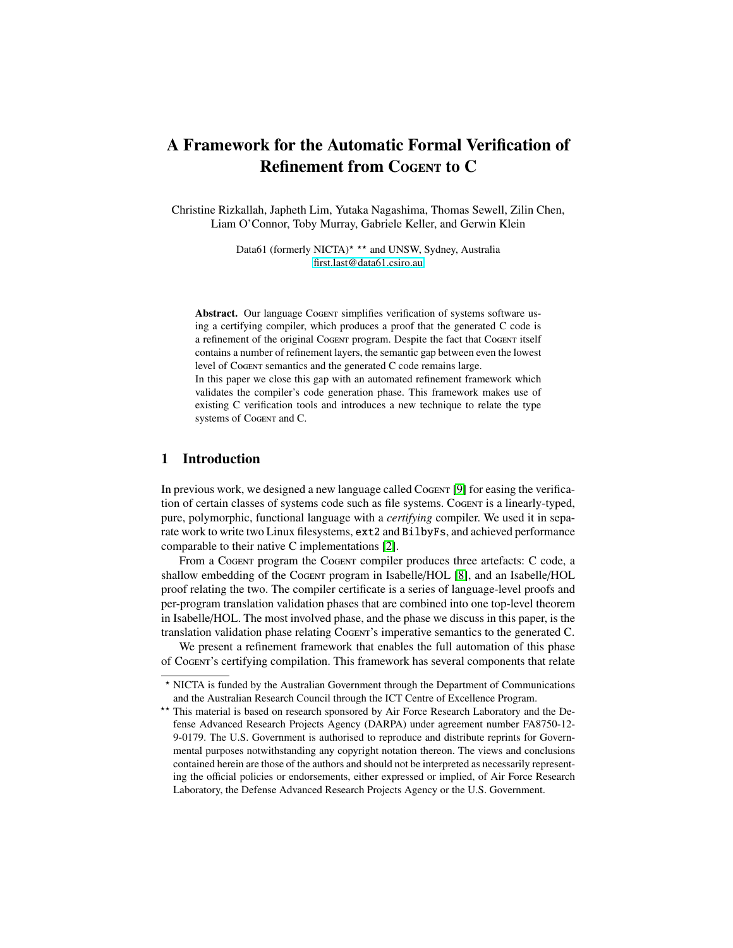# A Framework for the Automatic Formal Verification of Refinement from Cogent to C

Christine Rizkallah, Japheth Lim, Yutaka Nagashima, Thomas Sewell, Zilin Chen, Liam O'Connor, Toby Murray, Gabriele Keller, and Gerwin Klein

> Data61 (formerly NICTA)<sup> $\star \star \star$ </sup> and UNSW, Sydney, Australia [first.last@data61.csiro.au](mailto:christine.rizkallah@data61.csiro.au)

Abstract. Our language Cogent simplifies verification of systems software using a certifying compiler, which produces a proof that the generated C code is a refinement of the original CoGENT program. Despite the fact that CoGENT itself contains a number of refinement layers, the semantic gap between even the lowest level of Cogent semantics and the generated C code remains large. In this paper we close this gap with an automated refinement framework which validates the compiler's code generation phase. This framework makes use of existing C verification tools and introduces a new technique to relate the type

## 1 Introduction

systems of Cogent and C.

In previous work, we designed a new language called Cogent [\[9\]](#page-15-0) for easing the verification of certain classes of systems code such as file systems. CoGENT is a linearly-typed, pure, polymorphic, functional language with a *certifying* compiler. We used it in separate work to write two Linux filesystems, ext2 and BilbyFs, and achieved performance comparable to their native C implementations [\[2\]](#page-15-1).

From a Cogent program the Cogent compiler produces three artefacts: C code, a shallow embedding of the Cogent program in Isabelle/HOL [\[8\]](#page-15-2), and an Isabelle/HOL proof relating the two. The compiler certificate is a series of language-level proofs and per-program translation validation phases that are combined into one top-level theorem in Isabelle/HOL. The most involved phase, and the phase we discuss in this paper, is the translation validation phase relating CoGENT's imperative semantics to the generated C.

We present a refinement framework that enables the full automation of this phase of Cogent's certifying compilation. This framework has several components that relate

<sup>?</sup> NICTA is funded by the Australian Government through the Department of Communications and the Australian Research Council through the ICT Centre of Excellence Program.

<sup>\*\*</sup> This material is based on research sponsored by Air Force Research Laboratory and the Defense Advanced Research Projects Agency (DARPA) under agreement number FA8750-12- 9-0179. The U.S. Government is authorised to reproduce and distribute reprints for Governmental purposes notwithstanding any copyright notation thereon. The views and conclusions contained herein are those of the authors and should not be interpreted as necessarily representing the official policies or endorsements, either expressed or implied, of Air Force Research Laboratory, the Defense Advanced Research Projects Agency or the U.S. Government.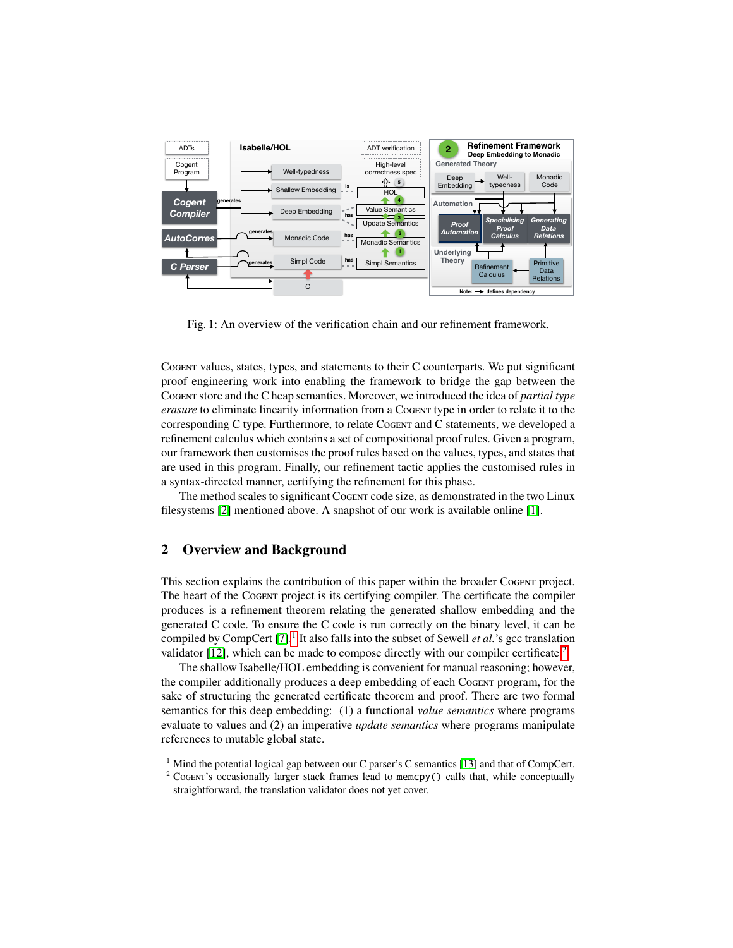<span id="page-1-2"></span>

Fig. 1: An overview of the verification chain and our refinement framework.

Cogent values, states, types, and statements to their C counterparts. We put significant proof engineering work into enabling the framework to bridge the gap between the Cogent store and the C heap semantics. Moreover, we introduced the idea of *partial type erasure* to eliminate linearity information from a Cogent type in order to relate it to the corresponding C type. Furthermore, to relate Cogent and C statements, we developed a refinement calculus which contains a set of compositional proof rules. Given a program, our framework then customises the proof rules based on the values, types, and states that are used in this program. Finally, our refinement tactic applies the customised rules in a syntax-directed manner, certifying the refinement for this phase.

The method scales to significant Cogent code size, as demonstrated in the two Linux filesystems [\[2\]](#page-15-1) mentioned above. A snapshot of our work is available online [\[1\]](#page-15-3).

# 2 Overview and Background

This section explains the contribution of this paper within the broader Cogent project. The heart of the Cogent project is its certifying compiler. The certificate the compiler produces is a refinement theorem relating the generated shallow embedding and the generated C code. To ensure the C code is run correctly on the binary level, it can be compiled by CompCert [\[7\]](#page-15-4).<sup>[1](#page-1-0)</sup> It also falls into the subset of Sewell *et al*.'s gcc translation validator [\[12\]](#page-15-5), which can be made to compose directly with our compiler certificate.[2](#page-1-1)

The shallow Isabelle/HOL embedding is convenient for manual reasoning; however, the compiler additionally produces a deep embedding of each Cogent program, for the sake of structuring the generated certificate theorem and proof. There are two formal semantics for this deep embedding: (1) a functional *value semantics* where programs evaluate to values and (2) an imperative *update semantics* where programs manipulate references to mutable global state.

<span id="page-1-0"></span><sup>&</sup>lt;sup>1</sup> Mind the potential logical gap between our C parser's C semantics [\[13\]](#page-15-6) and that of CompCert.

<span id="page-1-1"></span><sup>&</sup>lt;sup>2</sup> Cogent's occasionally larger stack frames lead to memcpy() calls that, while conceptually straightforward, the translation validator does not yet cover.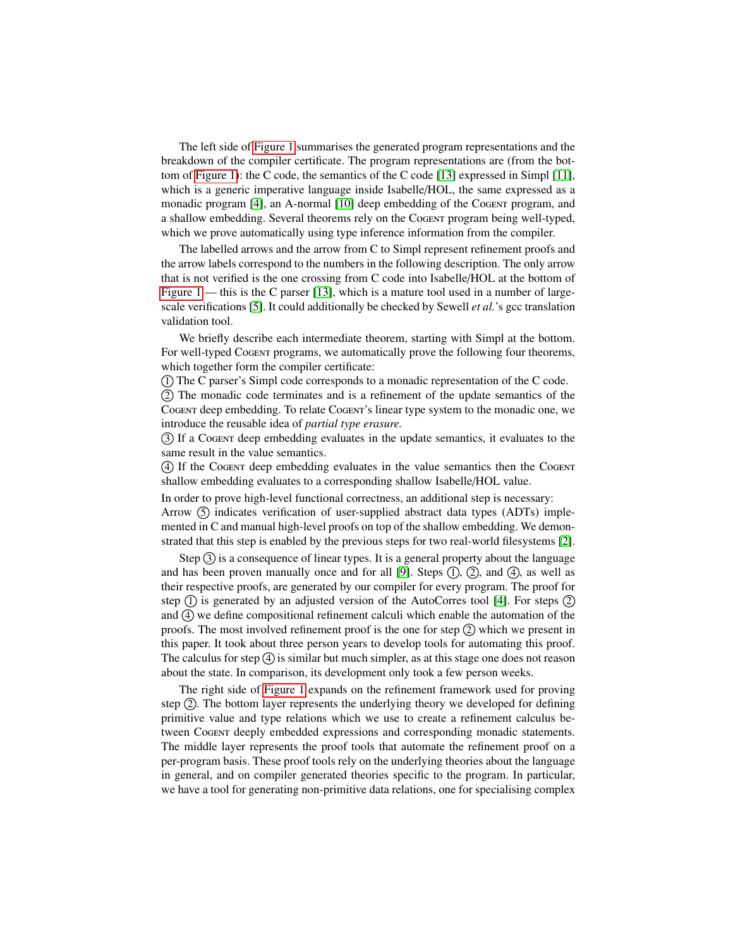The left side of [Figure 1](#page-1-2) summarises the generated program representations and the breakdown of the compiler certificate. The program representations are (from the bottom of [Figure 1\)](#page-1-2): the C code, the semantics of the C code [\[13\]](#page-15-6) expressed in Simpl [\[11\]](#page-15-7), which is a generic imperative language inside Isabelle/HOL, the same expressed as a monadic program [\[4\]](#page-15-8), an A-normal [\[10\]](#page-15-9) deep embedding of the Cogent program, and a shallow embedding. Several theorems rely on the Cogentr program being well-typed, which we prove automatically using type inference information from the compiler.

The labelled arrows and the arrow from C to Simpl represent refinement proofs and the arrow labels correspond to the numbers in the following description. The only arrow that is not verified is the one crossing from C code into Isabelle/HOL at the bottom of [Figure 1](#page-1-2) — this is the C parser [\[13\]](#page-15-6), which is a mature tool used in a number of largescale verifications [\[5\]](#page-15-10). It could additionally be checked by Sewell *et al.*'s gcc translation validation tool.

We briefly describe each intermediate theorem, starting with Simpl at the bottom. For well-typed Cogent programs, we automatically prove the following four theorems, which together form the compiler certificate:

1 The C parser's Simpl code corresponds to a monadic representation of the C code.

2 The monadic code terminates and is a refinement of the update semantics of the Cogent deep embedding. To relate Cogent's linear type system to the monadic one, we introduce the reusable idea of *partial type erasure.*

3 If a Cogent deep embedding evaluates in the update semantics, it evaluates to the same result in the value semantics.

4 If the Cogent deep embedding evaluates in the value semantics then the Cogent shallow embedding evaluates to a corresponding shallow Isabelle/HOL value.

In order to prove high-level functional correctness, an additional step is necessary:

Arrow  $(5)$  indicates verification of user-supplied abstract data types  $(ADTs)$  implemented in C and manual high-level proofs on top of the shallow embedding. We demonstrated that this step is enabled by the previous steps for two real-world filesystems [\[2\]](#page-15-1).

Step  $(3)$  is a consequence of linear types. It is a general property about the language and has been proven manually once and for all [\[9\]](#page-15-0). Steps  $(1)$ ,  $(2)$ , and  $(4)$ , as well as their respective proofs, are generated by our compiler for every program. The proof for step  $(1)$  is generated by an adjusted version of the AutoCorres tool [\[4\]](#page-15-8). For steps  $(2)$ and  $\overline{4}$  we define compositional refinement calculi which enable the automation of the proofs. The most involved refinement proof is the one for step  $(2)$  which we present in this paper. It took about three person years to develop tools for automating this proof. The calculus for step  $\overline{4}$  is similar but much simpler, as at this stage one does not reason about the state. In comparison, its development only took a few person weeks.

The right side of [Figure 1](#page-1-2) expands on the refinement framework used for proving step  $(2)$ . The bottom layer represents the underlying theory we developed for defining primitive value and type relations which we use to create a refinement calculus between Cogent deeply embedded expressions and corresponding monadic statements. The middle layer represents the proof tools that automate the refinement proof on a per-program basis. These proof tools rely on the underlying theories about the language in general, and on compiler generated theories specific to the program. In particular, we have a tool for generating non-primitive data relations, one for specialising complex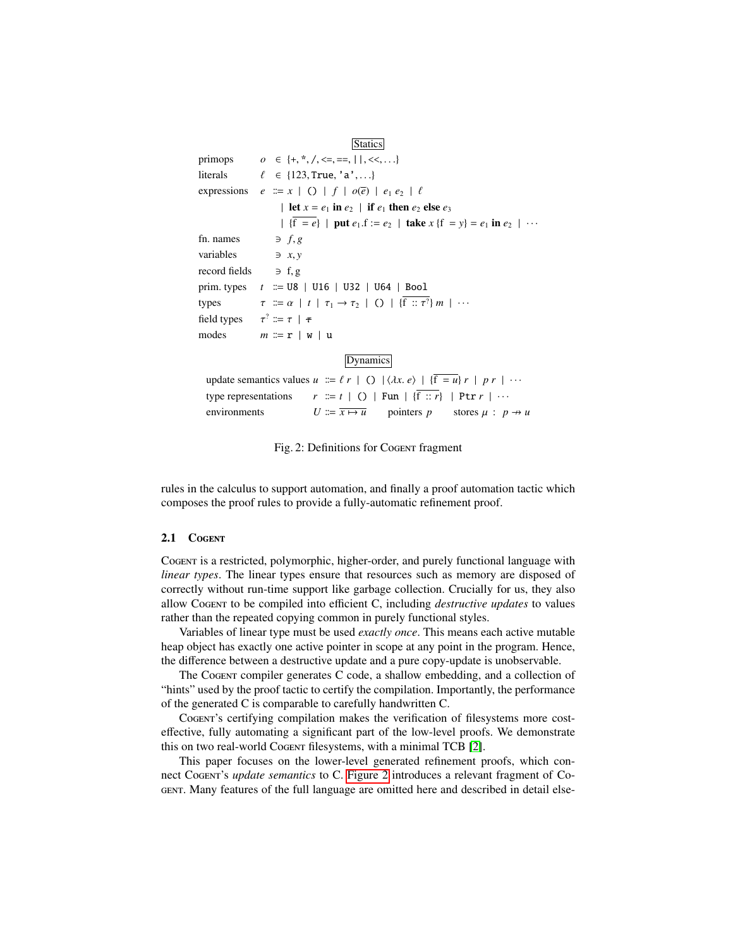<span id="page-3-0"></span>**Statics** primops  $o \in \{+, *, /, \langle =, ==, \, | \, |, \langle <, ...\}$ <br>literals  $\ell \in \{123, True, 'a', ...\}$ literals  $\ell \in \{123, \text{True}, 'a', \ldots\}$ <br>expressions  $e := x \mid () \mid f \mid o(\overline{e}) \mid$  $e := x \mid ( ) \mid f \mid o(\overline{e}) \mid e_1 e_2 \mid \ell$ | let  $x = e_1$  in  $e_2$  | if  $e_1$  then  $e_2$  else  $e_3$  $| \{ \overline{f} = e \} |$  put  $e_1.f := e_2 |$  take  $x \{ f = y \} = e_1$  in  $e_2 | \cdots$ <br> $\Rightarrow f, g$ fn. names  $\Rightarrow$  *f*, *g*<br>variables  $\Rightarrow$  *x*, *y* variables  $\Rightarrow x, y$ <br>record fields  $\Rightarrow f, g$ record fields prim. types  $t := U8$  | U16 | U32 | U64 | Bool types  $\tau := \alpha \mid t \mid \tau_1 \to \tau_2 \mid O \mid {\overline{f} :: \tau^2} m \mid \cdots$ field types<br>modes  $\tau^? \coloneqq \tau \mid \tau$  $m \equiv r \mid w \mid u$ **Dynamics** update semantics values  $u := \ell r \mid O \mid \langle \lambda x, e \rangle \mid {\overline{f} = u} \rvert r \mid pr \mid \cdots$ <br>type representations  $r := t \mid O \mid \text{Fun} \mid {\overline{f} : r} \mid \text{Ptr } r \mid \cdots$  $r \equiv t \mid$  () | Fun | {f :: *r*} | Ptr *r* | ··· environments  $U := \overline{x \mapsto u}$  pointers *p* stores  $\mu : p \rightarrow u$ 

Fig. 2: Definitions for Cogent fragment

rules in the calculus to support automation, and finally a proof automation tactic which composes the proof rules to provide a fully-automatic refinement proof.

#### 2.1 COGENT

Cogent is a restricted, polymorphic, higher-order, and purely functional language with *linear types*. The linear types ensure that resources such as memory are disposed of correctly without run-time support like garbage collection. Crucially for us, they also allow Cogent to be compiled into efficient C, including *destructive updates* to values rather than the repeated copying common in purely functional styles.

Variables of linear type must be used *exactly once*. This means each active mutable heap object has exactly one active pointer in scope at any point in the program. Hence, the difference between a destructive update and a pure copy-update is unobservable.

The Cogent compiler generates C code, a shallow embedding, and a collection of "hints" used by the proof tactic to certify the compilation. Importantly, the performance of the generated C is comparable to carefully handwritten C.

Cogent's certifying compilation makes the verification of filesystems more costeffective, fully automating a significant part of the low-level proofs. We demonstrate this on two real-world Cogent filesystems, with a minimal TCB [\[2\]](#page-15-1).

This paper focuses on the lower-level generated refinement proofs, which connect Cogent's *update semantics* to C. [Figure 2](#page-3-0) introduces a relevant fragment of Cogent. Many features of the full language are omitted here and described in detail else-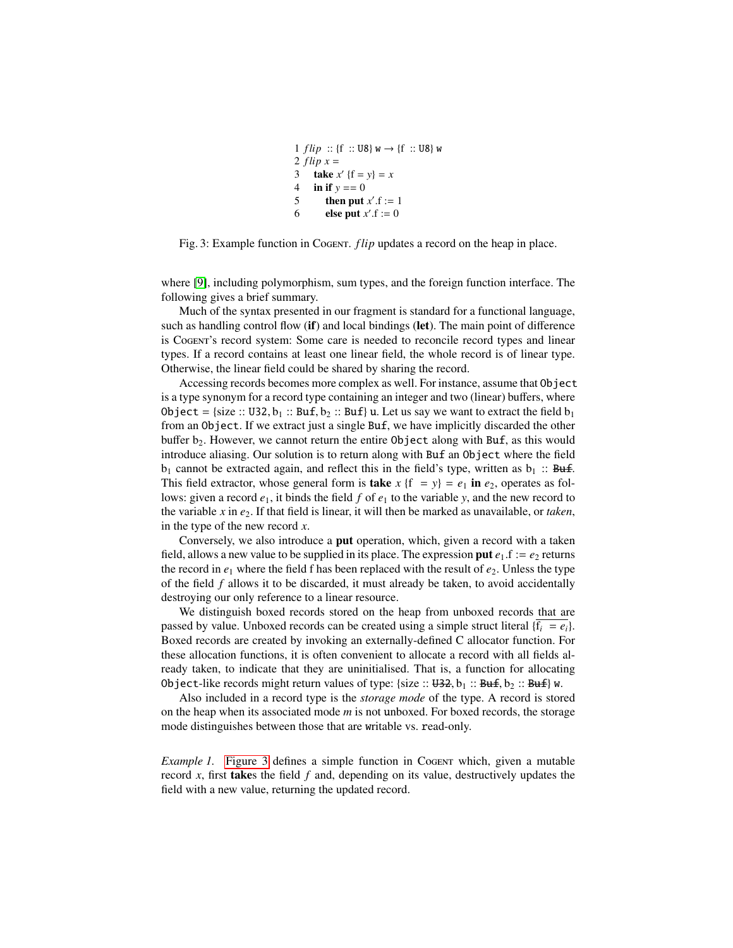```
1 f lip :: {f :: U8} w \to {f :: U8} w
2 flip x =3 take x' {f = y} = x4 in if y == 05 then put x'.f := 1<br>6 else put x' = 06 else put x'.f := 0
```
<span id="page-4-0"></span>Fig. 3: Example function in Cogent. *flip* updates a record on the heap in place.

where [\[9\]](#page-15-0), including polymorphism, sum types, and the foreign function interface. The following gives a brief summary.

Much of the syntax presented in our fragment is standard for a functional language, such as handling control flow (if) and local bindings (let). The main point of difference is Cogent's record system: Some care is needed to reconcile record types and linear types. If a record contains at least one linear field, the whole record is of linear type. Otherwise, the linear field could be shared by sharing the record.

Accessing records becomes more complex as well. For instance, assume that Object is a type synonym for a record type containing an integer and two (linear) buffers, where Object = {size :: U32,  $b_1$  :: Buf,  $b_2$  :: Buf} u. Let us say we want to extract the field  $b_1$ from an Object. If we extract just a single Buf, we have implicitly discarded the other buffer b<sub>2</sub>. However, we cannot return the entire Object along with Buf, as this would introduce aliasing. Our solution is to return along with Buf an Object where the field  $b_1$  cannot be extracted again, and reflect this in the field's type, written as  $b_1$  :: Buf. This field extractor, whose general form is **take**  $x \{f = y\} = e_1$  in  $e_2$ , operates as follows: given a record  $e_1$ , it binds the field f of  $e_1$  to the variable y, and the new record to the variable *x* in *e*2. If that field is linear, it will then be marked as unavailable, or *taken*, in the type of the new record *x*.

Conversely, we also introduce a put operation, which, given a record with a taken field, allows a new value to be supplied in its place. The expression put  $e_1$ .f :=  $e_2$  returns the record in  $e_1$  where the field f has been replaced with the result of  $e_2$ . Unless the type of the field *f* allows it to be discarded, it must already be taken, to avoid accidentally destroying our only reference to a linear resource.

We distinguish boxed records stored on the heap from unboxed records that are passed by value. Unboxed records can be created using a simple struct literal  ${f_i = e_i}$ . Boxed records are created by invoking an externally-defined C allocator function. For these allocation functions, it is often convenient to allocate a record with all fields already taken, to indicate that they are uninitialised. That is, a function for allocating Object-like records might return values of type: {size ::  $\text{H32}, b_1$  ::  $\text{Buf}, b_2$  ::  $\text{Buf}$ } w.

Also included in a record type is the *storage mode* of the type. A record is stored on the heap when its associated mode *m* is not unboxed. For boxed records, the storage mode distinguishes between those that are writable vs. read-only.

*Example 1.* [Figure 3](#page-4-0) defines a simple function in Cogentrum which, given a mutable record *x*, first takes the field *f* and, depending on its value, destructively updates the field with a new value, returning the updated record.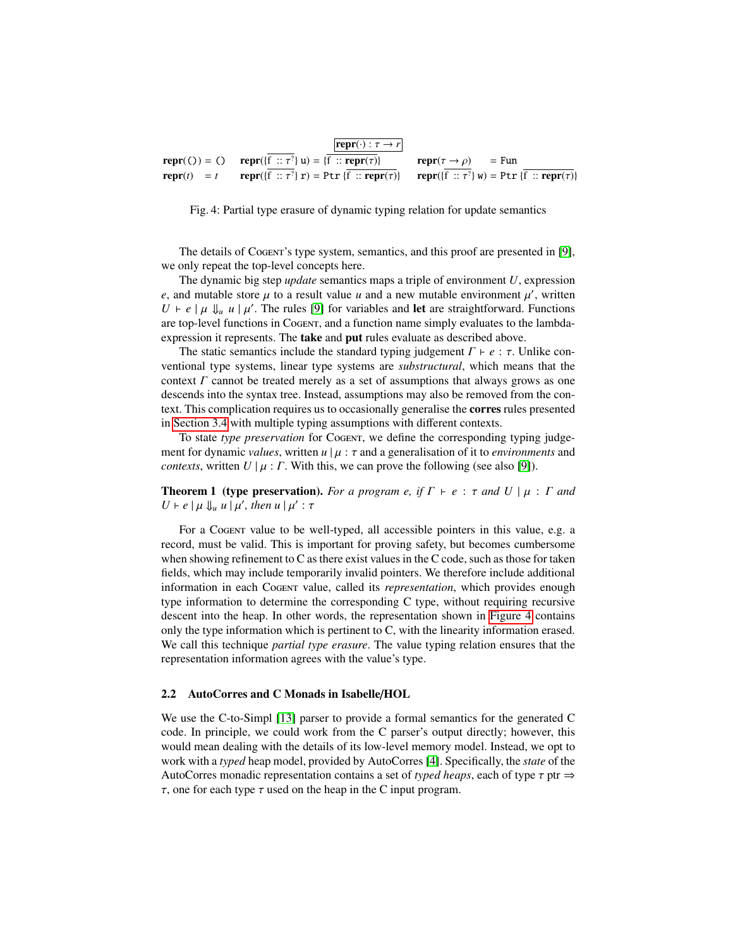<span id="page-5-0"></span>

Fig. 4: Partial type erasure of dynamic typing relation for update semantics

The details of Cogent's type system, semantics, and this proof are presented in [\[9\]](#page-15-0), we only repeat the top-level concepts here.

The dynamic big step *update* semantics maps a triple of environment *U*, expression *e*, and mutable store  $\mu$  to a result value *u* and a new mutable environment  $\mu'$ , written  $U \models e \mid u \mid u'$ . The rules [9] for variables and **let** are straightforward. Eunctions  $U \vdash e \mid \mu \Downarrow_u u \mid \mu'$ . The rules [\[9\]](#page-15-0) for variables and **let** are straightforward. Functions are top-level functions in Cognary and a function pame simply evaluates to the lambdaare top-level functions in Cogent, and a function name simply evaluates to the lambdaexpression it represents. The **take** and **put** rules evaluate as described above.

The static semantics include the standard typing judgement  $\Gamma \vdash e : \tau$ . Unlike conventional type systems, linear type systems are *substructural*, which means that the context  $\Gamma$  cannot be treated merely as a set of assumptions that always grows as one descends into the syntax tree. Instead, assumptions may also be removed from the context. This complication requires us to occasionally generalise the corres rules presented in [Section 3.4](#page-9-0) with multiple typing assumptions with different contexts.

To state *type preservation* for Cogent, we define the corresponding typing judgement for dynamic *values*, written  $u \mid \mu : \tau$  and a generalisation of it to *environments* and *contexts*, written  $U | \mu : \Gamma$ . With this, we can prove the following (see also [\[9\]](#page-15-0)).

<span id="page-5-1"></span>**Theorem 1 (type preservation).** *For a program e, if*  $\Gamma \vdash e : \tau$  *and*  $U \mid \mu : \Gamma$  *and*  $U \vdash e \mid \mu \Downarrow_u u \mid \mu', \text{ then } u \mid \mu' : \tau$ 

For a Cogent value to be well-typed, all accessible pointers in this value, e.g. a record, must be valid. This is important for proving safety, but becomes cumbersome when showing refinement to C as there exist values in the C code, such as those for taken fields, which may include temporarily invalid pointers. We therefore include additional information in each Cogent value, called its *representation*, which provides enough type information to determine the corresponding C type, without requiring recursive descent into the heap. In other words, the representation shown in [Figure 4](#page-5-0) contains only the type information which is pertinent to C, with the linearity information erased. We call this technique *partial type erasure*. The value typing relation ensures that the representation information agrees with the value's type.

#### 2.2 AutoCorres and C Monads in Isabelle/HOL

We use the C-to-Simpl [\[13\]](#page-15-6) parser to provide a formal semantics for the generated C code. In principle, we could work from the C parser's output directly; however, this would mean dealing with the details of its low-level memory model. Instead, we opt to work with a *typed* heap model, provided by AutoCorres [\[4\]](#page-15-8). Specifically, the *state* of the AutoCorres monadic representation contains a set of *typed heaps*, each of type τ ptr <sup>⇒</sup>  $\tau$ , one for each type  $\tau$  used on the heap in the C input program.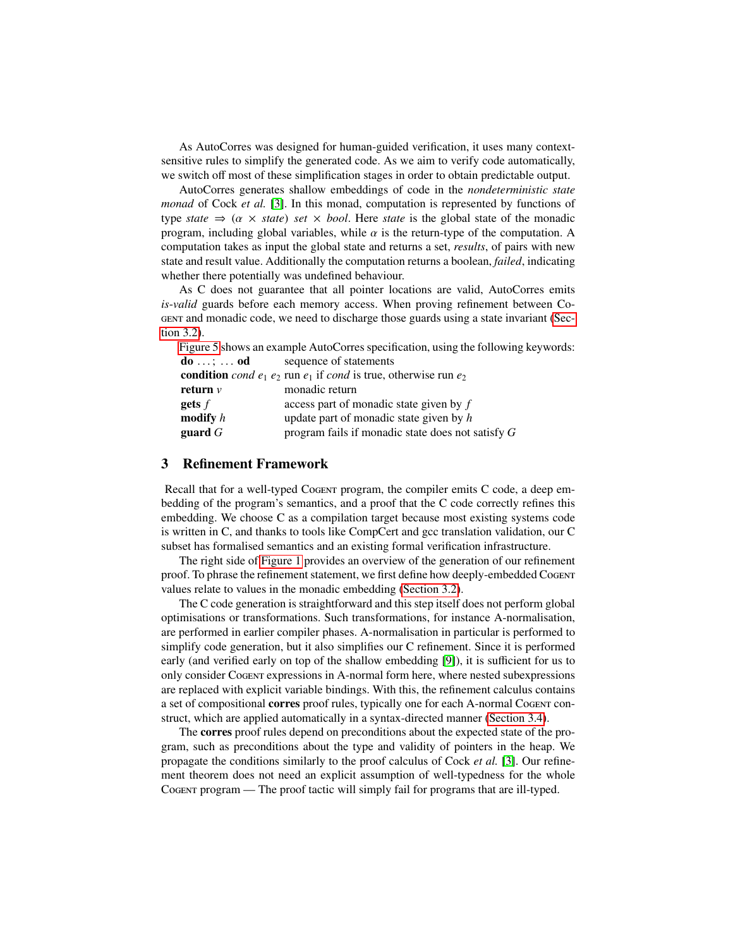As AutoCorres was designed for human-guided verification, it uses many contextsensitive rules to simplify the generated code. As we aim to verify code automatically, we switch off most of these simplification stages in order to obtain predictable output.

AutoCorres generates shallow embeddings of code in the *nondeterministic state monad* of Cock *et al.* [\[3\]](#page-15-11). In this monad, computation is represented by functions of type *state*  $\Rightarrow$  ( $\alpha \times$  *state*) *set*  $\times$  *bool*. Here *state* is the global state of the monadic program, including global variables, while  $\alpha$  is the return-type of the computation. A computation takes as input the global state and returns a set, *results*, of pairs with new state and result value. Additionally the computation returns a boolean, *failed*, indicating whether there potentially was undefined behaviour.

As C does not guarantee that all pointer locations are valid, AutoCorres emits *is*-*valid* guards before each memory access. When proving refinement between Cogent and monadic code, we need to discharge those guards using a state invariant [\(Sec](#page-8-0)[tion 3.2\)](#page-8-0).

[Figure 5](#page-7-0) shows an example AutoCorres specification, using the following keywords: **do** ...; ... **od** sequence of statements<br>**condition** *cond*  $e_1$   $e_2$  run  $e_1$  if *cond* is true, otherwise run  $e_2$ **return** *v* monadic return gets *f* access part of monadic state given by *f* modify *h* update part of monadic state given by *h* guard *G* program fails if monadic state does not satisfy *G*

## 3 Refinement Framework

Recall that for a well-typed Cogent program, the compiler emits C code, a deep embedding of the program's semantics, and a proof that the C code correctly refines this embedding. We choose C as a compilation target because most existing systems code is written in C, and thanks to tools like CompCert and gcc translation validation, our C subset has formalised semantics and an existing formal verification infrastructure.

The right side of [Figure 1](#page-1-2) provides an overview of the generation of our refinement proof. To phrase the refinement statement, we first define how deeply-embedded Cogent values relate to values in the monadic embedding [\(Section 3.2\)](#page-8-0).

The C code generation is straightforward and this step itself does not perform global optimisations or transformations. Such transformations, for instance A-normalisation, are performed in earlier compiler phases. A-normalisation in particular is performed to simplify code generation, but it also simplifies our C refinement. Since it is performed early (and verified early on top of the shallow embedding [\[9\]](#page-15-0)), it is sufficient for us to only consider Cogent expressions in A-normal form here, where nested subexpressions are replaced with explicit variable bindings. With this, the refinement calculus contains a set of compositional corres proof rules, typically one for each A-normal Cogent construct, which are applied automatically in a syntax-directed manner [\(Section 3.4\)](#page-9-0).

The corres proof rules depend on preconditions about the expected state of the program, such as preconditions about the type and validity of pointers in the heap. We propagate the conditions similarly to the proof calculus of Cock *et al.* [\[3\]](#page-15-11). Our refinement theorem does not need an explicit assumption of well-typedness for the whole Cogent program — The proof tactic will simply fail for programs that are ill-typed.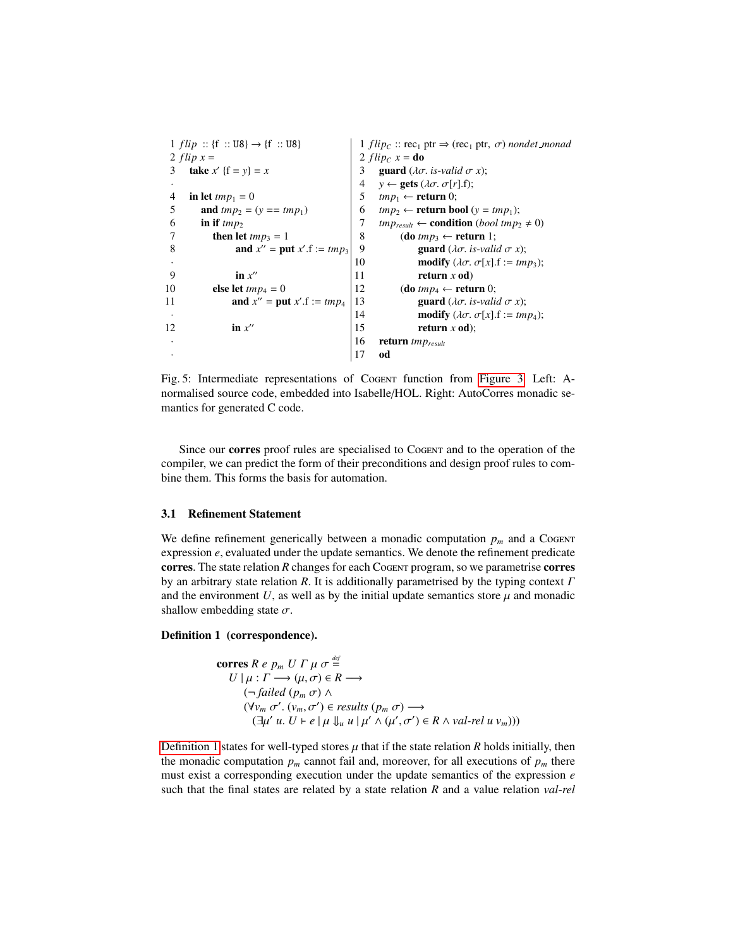<span id="page-7-0"></span> $1 flip :: \{f :: US\} \rightarrow \{f :: US\}$ 2  $flip x =$ 3 **take**  $x'$  {f =  $y$ } =  $x$ · 4 in let  $tmp_1 = 0$ <br>5 and  $tmp_2 = 0$ 5 **and**  $tmp_2 = (y == tmp_1)$ <br>6 **in if**  $tmp_2$ 6 in if  $tmp_2$ <br>7 then let **then let**  $tmp_3 = 1$ 8 **and**  $x'' = \text{put } x'.f := tmp_3$ · 9 in  $x''$ 10 **else let**  $tmp_4 = 0$ 11 **and**  $x'' = \text{put } x'.f := \text{tmp}_4$ · 12 in  $x''$ · · 1 *f lip<sub>C</sub>* :: rec<sub>1</sub> ptr  $\Rightarrow$  (rec<sub>1</sub> ptr,  $\sigma$ ) *nondet\_monad* 2  $flip_C$   $x =$ **do** 3 guard ( $\lambda \sigma$ . *is-valid*  $\sigma$  *x*);<br>4  $v \leftarrow$  gets ( $\lambda \sigma$ .  $\sigma[r]$ .f);  $y \leftarrow$  **gets** ( $\lambda \sigma$ .  $\sigma[r]$ .f); 5  $tmp_1 \leftarrow return 0;$ 6 *tmp*<sub>2</sub> ← **return bool** ( $y = tmp_1$ );<br>7 *tmp<sub>result</sub>* ← **condition** (*bool tmp*<sub>2</sub> 7 *tmp*<sub>result</sub> ← **condition** (*bool tmp*<sub>2</sub>  $\neq$  0)<br>8 **(do** *tmp*<sub>3</sub> ← **return** 1;  $$ 9 guard ( $\lambda \sigma$ . *is-valid*  $\sigma$  *x*);<br>10 modify ( $\lambda \sigma$ .  $\sigma[x]$ . *f* := *tm* 10 **modify**  $(\lambda \sigma, \sigma[x], f := tmp_3);$ <br>11 **return** x **od**)  $return x od)$ 12 **(do**  $tmp_4 \leftarrow return 0$ ; 13 guard ( $\lambda \sigma$ . *is-valid*  $\sigma$  *x*);<br>14 modify ( $\lambda \sigma$ .  $\sigma[x]$ . *f* := *tm* 14 **modify** ( $\lambda \sigma$ .  $\sigma[x]$ .f := *tmp*<sub>4</sub>);<br>15 **return** x **od**); return *x* od); 16 return *tmpresult* 17 od

Fig. 5: Intermediate representations of Cogent function from [Figure 3.](#page-4-0) Left: Anormalised source code, embedded into Isabelle/HOL. Right: AutoCorres monadic semantics for generated C code.

Since our corres proof rules are specialised to Cogent and to the operation of the compiler, we can predict the form of their preconditions and design proof rules to combine them. This forms the basis for automation.

## <span id="page-7-2"></span>3.1 Refinement Statement

We define refinement generically between a monadic computation  $p<sub>m</sub>$  and a Cogent expression *e*, evaluated under the update semantics. We denote the refinement predicate corres. The state relation *R* changes for each Cogent program, so we parametrise corres by an arbitrary state relation *<sup>R</sup>*. It is additionally parametrised by the typing context Γ and the environment  $U$ , as well as by the initial update semantics store  $\mu$  and monadic shallow embedding state  $\sigma$ .

### <span id="page-7-1"></span>Definition 1 (correspondence).

$$
\begin{aligned}\n\text{corres } R \, e \, p_m \, U \, \Gamma \, \mu \, \sigma \stackrel{\text{def}}{=} \\
U \, | \, \mu : \Gamma \longrightarrow (\mu, \sigma) \in R \longrightarrow \\
(\neg \, failed \, (p_m \, \sigma) \land \\
(\forall v_m \, \sigma'. \, (v_m, \sigma') \in \text{results } (p_m \, \sigma) \longrightarrow \\
(\exists \mu' \, u. \, U \vdash e \, | \, \mu \, \psi \, u \, | \, \mu' \land (\mu', \sigma') \in R \land \text{val-rel } \nu_m)))\n\end{aligned}
$$

[Definition 1](#page-7-1) states for well-typed stores  $\mu$  that if the state relation  $R$  holds initially, then the monadic computation  $p_m$  cannot fail and, moreover, for all executions of  $p_m$  there must exist a corresponding execution under the update semantics of the expression *e* such that the final states are related by a state relation *R* and a value relation *val*-*rel*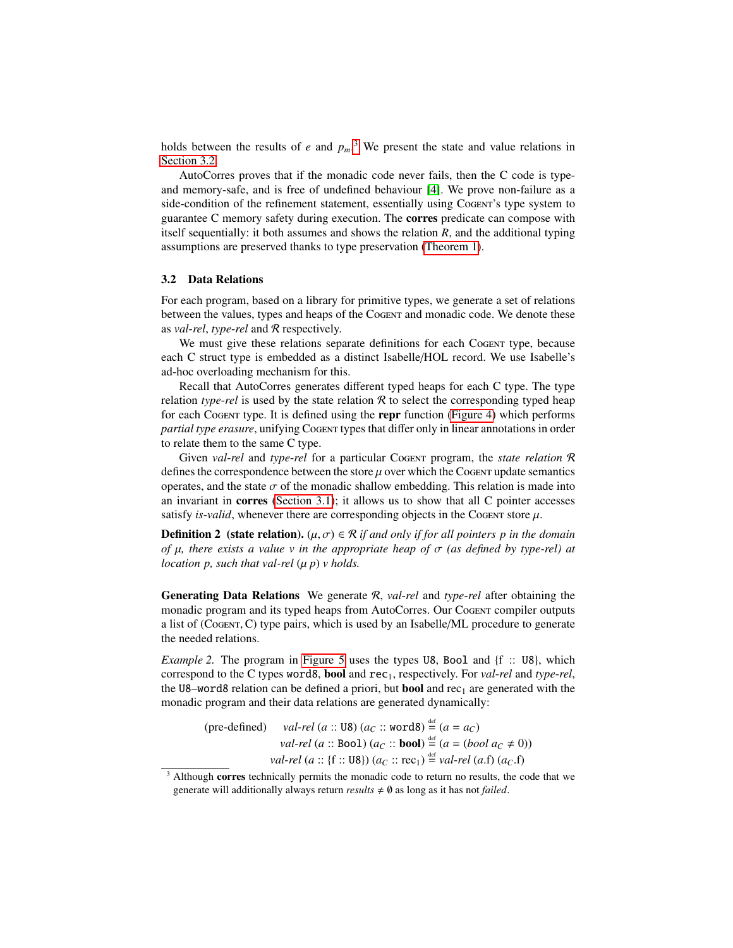holds between the results of  $e$  and  $p_m$ <sup>[3](#page-8-1)</sup>. We present the state and value relations in [Section 3.2.](#page-8-0)

AutoCorres proves that if the monadic code never fails, then the C code is typeand memory-safe, and is free of undefined behaviour [\[4\]](#page-15-8). We prove non-failure as a side-condition of the refinement statement, essentially using Cogent's type system to guarantee C memory safety during execution. The corres predicate can compose with itself sequentially: it both assumes and shows the relation *R*, and the additional typing assumptions are preserved thanks to type preservation [\(Theorem 1\)](#page-5-1).

### <span id="page-8-0"></span>3.2 Data Relations

For each program, based on a library for primitive types, we generate a set of relations between the values, types and heaps of the Cogent and monadic code. We denote these as *val*-*rel*, *type*-*rel* and R respectively.

We must give these relations separate definitions for each Cogent type, because each C struct type is embedded as a distinct Isabelle/HOL record. We use Isabelle's ad-hoc overloading mechanism for this.

Recall that AutoCorres generates different typed heaps for each C type. The type relation *type-rel* is used by the state relation  $R$  to select the corresponding typed heap for each Cogent type. It is defined using the repr function [\(Figure 4\)](#page-5-0) which performs *partial type erasure*, unifying Cogent types that differ only in linear annotations in order to relate them to the same C type.

Given *val*-*rel* and *type*-*rel* for a particular Cogent program, the *state relation* R defines the correspondence between the store  $\mu$  over which the Cogent update semantics operates, and the state  $\sigma$  of the monadic shallow embedding. This relation is made into an invariant in corres [\(Section 3.1\)](#page-7-2); it allows us to show that all C pointer accesses satisfy *is-valid*, whenever there are corresponding objects in the Cogent store  $\mu$ .

<span id="page-8-2"></span>**Definition 2** (state relation).  $(\mu, \sigma) \in \mathcal{R}$  *if and only if for all pointers p in the domain of*  $\mu$ , there exists a value v in the appropriate heap of  $\sigma$  (as defined by type-rel) at *location p, such that val-rel*  $(\mu p)$  *v holds.* 

Generating Data Relations We generate R, *val*-*rel* and *type*-*rel* after obtaining the monadic program and its typed heaps from AutoCorres. Our Cogent compiler outputs a list of (Cogent,C) type pairs, which is used by an Isabelle/ML procedure to generate the needed relations.

*Example 2.* The program in [Figure 5](#page-7-0) uses the types U8, Bool and {f :: U8}, which correspond to the C types word8, bool and rec1, respectively. For *val*-*rel* and *type*-*rel*, the U8–word8 relation can be defined a priori, but **bool** and  $rec_1$  are generated with the monadic program and their data relations are generated dynamically:

(pre-defined) *val-rel* (a :: 
$$
UB
$$
)  $(a_C :: word8) \stackrel{\text{def}}{=} (a = a_C)$ 

\n*val-rel* (a ::  $Bool$ )  $(a_C :: \text{bool}) \stackrel{\text{def}}{=} (a = (bool \, a_C \neq 0))$ 

\n*val-rel* (a ::  $ff :: UB$ )  $(a_C :: \text{rec}_1) \stackrel{\text{def}}{=} \text{val-rel}(a.f)$   $(a_C.f)$ 

<span id="page-8-1"></span>*val-rel* (*a* :: {f :: U8}) ( $a_C$  :: rec<sub>1</sub>)  $\stackrel{\text{def}}{=}$  *val-rel* (*a.f*) ( $a_C$ .f)<br>
<sup>3</sup> Although corres technically permits the monadic code to return no results, the code that we generate will additionally always return  $results \neq \emptyset$  as long as it has not *failed*.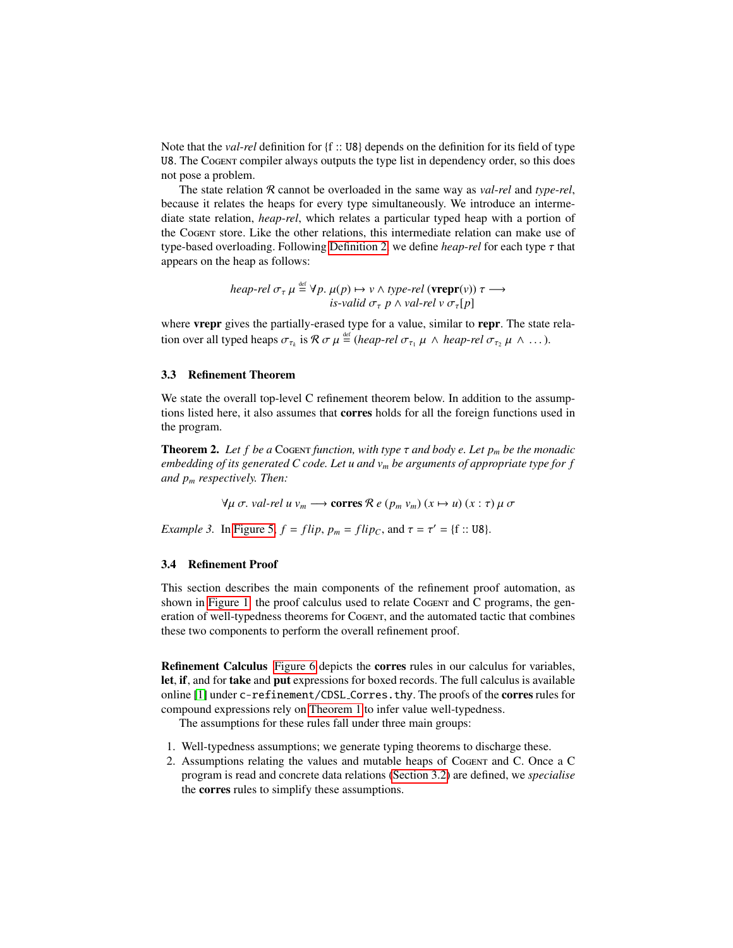Note that the *val*-*rel* definition for {f :: U8} depends on the definition for its field of type U8. The Cogent compiler always outputs the type list in dependency order, so this does not pose a problem.

The state relation R cannot be overloaded in the same way as *val*-*rel* and *type*-*rel*, because it relates the heaps for every type simultaneously. We introduce an intermediate state relation, *heap*-*rel*, which relates a particular typed heap with a portion of the Cogent store. Like the other relations, this intermediate relation can make use of type-based overloading. Following [Definition 2,](#page-8-2) we define *heap*-*rel* for each type τ that appears on the heap as follows:

$$
heap-rel \sigma_{\tau} \mu \stackrel{\text{def}}{=} \forall p. \mu(p) \mapsto \nu \land type\text{-}rel (\textbf{vrepr}(v)) \tau \longrightarrow
$$
  
is-valid σ<sub>τ</sub> p ∧ val-rel v σ<sub>τ</sub>[p]

where **vrepr** gives the partially-erased type for a value, similar to **repr**. The state relation over all typed heaps  $\sigma_{\tau_k}$  is  $\mathcal{R} \sigma \mu \stackrel{\text{def}}{=}$  (*heap-rel*  $\sigma_{\tau_1} \mu \wedge \text{heap-rel } \sigma_{\tau_2} \mu \wedge \dots$ ).

## <span id="page-9-1"></span>3.3 Refinement Theorem

We state the overall top-level C refinement theorem below. In addition to the assumptions listed here, it also assumes that corres holds for all the foreign functions used in the program.

**Theorem 2.** Let f be a Cogent function, with type  $\tau$  and body e. Let  $p_m$  be the monadic *embedding of its generated C code. Let u and v<sup>m</sup> be arguments of appropriate type for f and p<sup>m</sup> respectively. Then:*

 $∀μ σ. *val*-rel *u v*<sub>m</sub> → **corres** *R e* (*p*<sub>m</sub> *v*<sub>m</sub>) (*x* → *u*) (*x* : τ) *µ* σ$ 

*Example 3.* In [Figure 5,](#page-7-0)  $f = flip$ ,  $p_m = flip_C$ , and  $\tau = \tau' = \{f : : \text{UB}\}.$ 

#### <span id="page-9-0"></span>3.4 Refinement Proof

This section describes the main components of the refinement proof automation, as shown in [Figure 1:](#page-1-2) the proof calculus used to relate Cogentr and C programs, the generation of well-typedness theorems for Cogent, and the automated tactic that combines these two components to perform the overall refinement proof.

<span id="page-9-2"></span>Refinement Calculus [Figure 6](#page-10-0) depicts the corres rules in our calculus for variables, let, if, and for take and put expressions for boxed records. The full calculus is available online [\[1\]](#page-15-3) under c-refinement/CDSL Corres.thy. The proofs of the corres rules for compound expressions rely on [Theorem 1](#page-5-1) to infer value well-typedness.

The assumptions for these rules fall under three main groups:

- 1. Well-typedness assumptions; we generate typing theorems to discharge these.
- 2. Assumptions relating the values and mutable heaps of Cogent and C. Once a C program is read and concrete data relations [\(Section 3.2\)](#page-8-0) are defined, we *specialise* the corres rules to simplify these assumptions.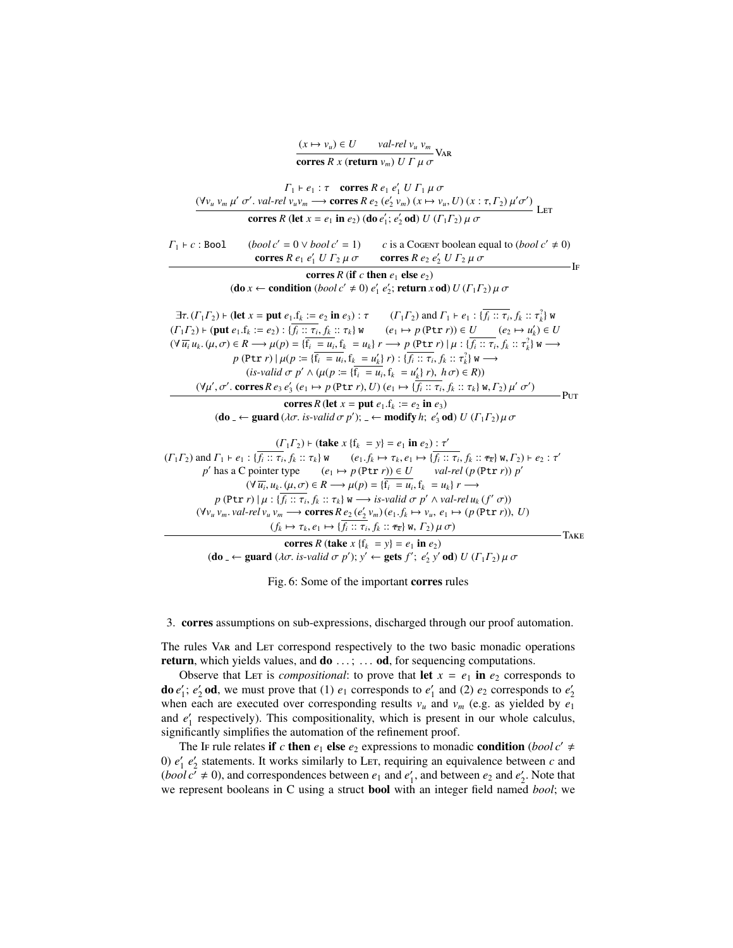| $(x \mapsto v_u) \in U$                              | $\frac{val\text{-}rel\ v_u\ v_m}{\sqrt{A}}\ \text{VaR}$ |
|------------------------------------------------------|---------------------------------------------------------|
| corres R x (return $v_m$ ) U $\Gamma$ $\mu$ $\sigma$ |                                                         |

<span id="page-10-0"></span>

Fig. 6: Some of the important corres rules

3. corres assumptions on sub-expressions, discharged through our proof automation.

The rules Var and Let correspond respectively to the two basic monadic operations return, which yields values, and  $\mathbf{do} \dots$ ;  $\dots$  od, for sequencing computations.

Observe that Let is *compositional*: to prove that let  $x = e_1$  in  $e_2$  corresponds to **do**  $e'_1$ ;  $e'_2$  **od**, we must prove that (1)  $e_1$  corresponds to  $e'_1$  and (2)  $e_2$  corresponds to  $e'_2$ when each are executed over corresponding results  $v_u$  and  $v_m$  (e.g. as yielded by  $e_1$ and  $e'_1$  respectively). This compositionality, which is present in our whole calculus, significantly simplifies the automation of the refinement proof.

The IF rule relates if *c* then  $e_1$  else  $e_2$  expressions to monadic condition (*bool c'*  $\neq$ 0)  $e'_1$   $e'_2$  statements. It works similarly to LET, requiring an equivalence between *c* and  $(bool c^7 \neq 0)$ , and correspondences between  $e_1$  and  $e'_1$ , and between  $e_2$  and  $e'_2$ . Note that we represent booleans in C using a struct bool with an integer field named *bool*; we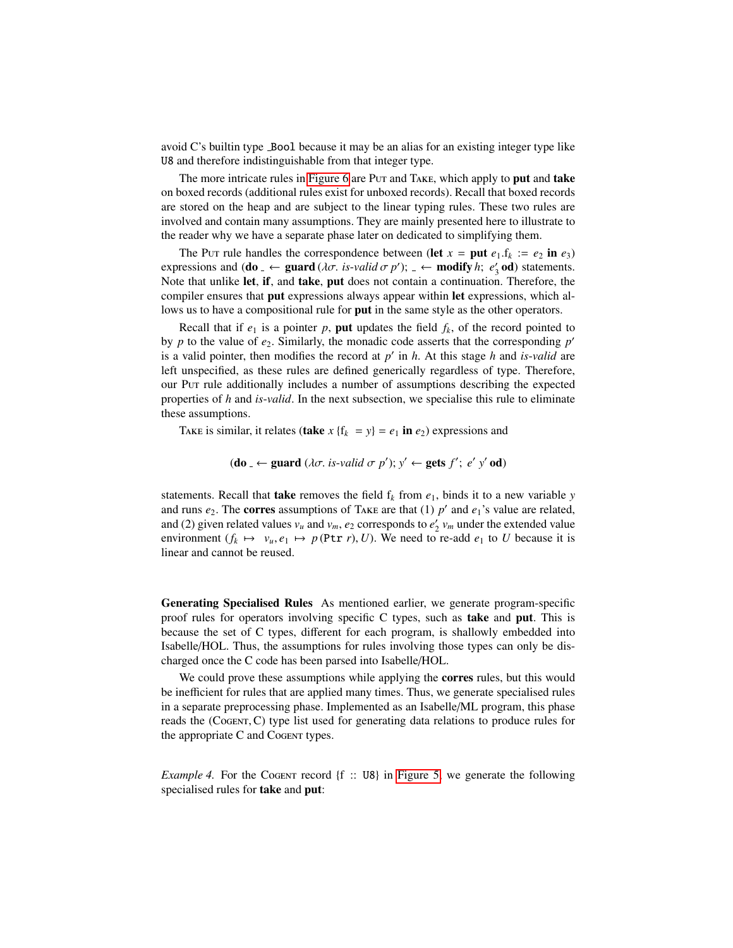avoid C's builtin type Bool because it may be an alias for an existing integer type like U8 and therefore indistinguishable from that integer type.

The more intricate rules in [Figure 6](#page-10-0) are Put and TAKE, which apply to put and take on boxed records (additional rules exist for unboxed records). Recall that boxed records are stored on the heap and are subject to the linear typing rules. These two rules are involved and contain many assumptions. They are mainly presented here to illustrate to the reader why we have a separate phase later on dedicated to simplifying them.

The Put rule handles the correspondence between (let  $x = \text{put } e_1.f_k := e_2 \text{ in } e_3$ ) expressions and  $(d\mathbf{o}_\perp \leftarrow \textbf{guard}(\lambda \sigma, \textit{ is-valid} \sigma \, p')$ ;  $\perp \leftarrow \textbf{modify } h; e'_3 \textbf{ od}$  statements. Note that unlike let, if, and take, put does not contain a continuation. Therefore, the compiler ensures that put expressions always appear within let expressions, which allows us to have a compositional rule for **put** in the same style as the other operators.

Recall that if  $e_1$  is a pointer p, put updates the field  $f_k$ , of the record pointed to by  $p$  to the value of  $e_2$ . Similarly, the monadic code asserts that the corresponding  $p'$ is a valid pointer, then modifies the record at  $p'$  in  $h$ . At this stage  $h$  and *is-valid* are left unspecified, as these rules are defined generically regardless of type. Therefore, our Put rule additionally includes a number of assumptions describing the expected properties of *h* and *is*-*valid*. In the next subsection, we specialise this rule to eliminate these assumptions.

TAKE is similar, it relates (take  $x \{f_k = y\} = e_1$  in  $e_2$ ) expressions and

$$
(\mathbf{do}_{-} \leftarrow \mathbf{guard} \ (\lambda \sigma. \ is\text{-}valid \ \sigma \ p'); y' \leftarrow \mathbf{gets} \ f'; \ e' \ y' \ \mathbf{od})
$$

statements. Recall that **take** removes the field  $f_k$  from  $e_1$ , binds it to a new variable *y* and runs  $e_2$ . The **corres** assumptions of TAKE are that (1)  $p'$  and  $e_1$ 's value are related, and (2) given related values  $v_u$  and  $v_m$ ,  $e_2$  corresponds to  $e'_2$   $v_m$  under the extended value environment ( $f_k \mapsto v_u, e_1 \mapsto p$  (Ptr *r*), *U*). We need to re-add  $e_1$  to *U* because it is linear and cannot be reused.

<span id="page-11-0"></span>Generating Specialised Rules As mentioned earlier, we generate program-specific proof rules for operators involving specific C types, such as take and put. This is because the set of C types, different for each program, is shallowly embedded into Isabelle/HOL. Thus, the assumptions for rules involving those types can only be discharged once the C code has been parsed into Isabelle/HOL.

We could prove these assumptions while applying the **corres** rules, but this would be inefficient for rules that are applied many times. Thus, we generate specialised rules in a separate preprocessing phase. Implemented as an Isabelle/ML program, this phase reads the (Cogent,C) type list used for generating data relations to produce rules for the appropriate C and Cogent types.

*Example 4.* For the Cogent record {f :: U8} in [Figure 5,](#page-7-0) we generate the following specialised rules for take and put: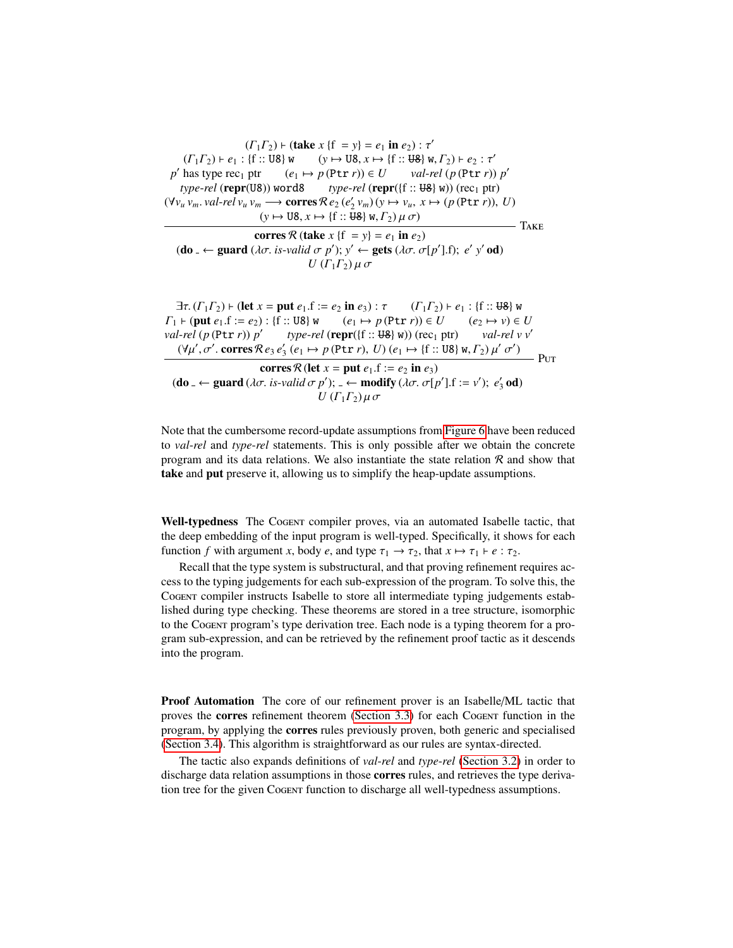$(\Gamma_1 \Gamma_2)$   $\vdash$  (take  $x \{f = y\} = e_1$  in  $e_2$ ) :  $\tau'$ <br> $(f \cdot \text{IB})$   $\uparrow u$   $(y \mapsto \text{IB} \cdot x \mapsto (f \cdot \text{IB})$   $\uparrow u$  $(\Gamma_1 \Gamma_2) \vdash e_1 : \{\mathbf{f} :: \mathbf{U} \mathbf{B} \} \mathbf{w} \qquad (y \mapsto \mathbf{U} \mathbf{B}, x \mapsto \{\mathbf{f} :: \mathbf{U} \mathbf{B} \} \mathbf{w}, \Gamma_2) \vdash e_2 : \tau'$ <br>has type recy ptr  $(e_i \mapsto n(\mathbf{P} \mathbf{t}, r_i)) \in U$  valued  $(n(\mathbf{P} \mathbf{t}, r_i))$ *p*<sup>'</sup>  $(e_1 \mapsto p(\text{Ptr } r)) \in U$ val-rel  $(p(\text{Ptr } r)) p'$  $type$ -*rel* (**repr**(U8)) word8 *type-rel* (**repr**({f :: U8} w)) (rec<sub>1</sub> ptr)  $(\forall v_u v_m. \text{ val-}rel \ v_u v_m \longrightarrow \text{cores } \mathcal{R} e_2 (e'_2 v_m) (v \mapsto v_u, x \mapsto (p (\text{Ptr } r)), U)$ <br>  $(v \mapsto \text{IIR } r \mapsto f f \cdot \text{IIR } r \mapsto (q \cdot \text{IIR}) (u \cdot \text{I} e)$  $(y \mapsto \text{U8}, x \mapsto \{\text{f} : \text{U8}\} \text{W}, \Gamma_2) \mu \sigma$ corres  $\mathcal{R}$  (take  $x \{f = y\} = e_1$  in  $e_2$ ) (**do** <sub>−</sub> ← guard ( $\lambda \sigma$ , *is-valid*  $\sigma$  *p*');  $y'$  ← gets ( $\lambda \sigma$ ,  $\sigma$ [*p*'],f); *e*'  $y'$  od) *U* (Γ<sub>1</sub>Γ<sub>2</sub>)  $\mu \sigma$  $-$ Take  $\exists \tau. (T_1 \Gamma_2) \vdash (\text{let } x = \text{put } e_1 \cdot f := e_2 \text{ in } e_3) : \tau \qquad (T_1 \Gamma_2) \vdash e_1 : \{\text{f} :: \text{U8}\}$  w  $\Gamma_1 \vdash (\text{put } e_1.f := e_2) : \{f :: \text{U8}\} \le (e_1 \mapsto p(\text{Ptr } r)) \in U \qquad (e_2 \mapsto v) \in U$ <br>val-rel (p(Ptr r)) p' type-rel (repr( $\{f :: \text{U8}\} \le v$ )) (rec<sub>1</sub> ptr) val-rel v v' *val*-*rel* (*p* (Ptr *r*)) *p* 0 *type-rel* (**repr**({ $f :: \theta$ } *w*)) (rec<sub>1</sub> ptr)  $(\forall \mu', \sigma'. \text{ corners } \mathcal{R} e_3 e'_3 \ (e_1 \mapsto p(\text{Ptr } r), U) \ (e_1 \mapsto \{\text{f} : : \text{UB}\} \ \text{w}, \Gamma_2) \ \mu'$ σ  $\frac{1}{2}$  Put corres  $\mathcal{R}$  (let  $x = \text{put } e_1 \cdot f := e_2 \text{ in } e_3$ ) (do <sub>−</sub> ← guard ( $\lambda \sigma$ , *is-valid*  $\sigma$  *p'*); − ← modify ( $\lambda \sigma$ ,  $\sigma$ [*p'*],f := *v'*); *e'*<sub>3</sub> od) *U* ( $\Gamma_1$ Γ<sub>2</sub>) μσ

Note that the cumbersome record-update assumptions from [Figure 6](#page-10-0) have been reduced to *val*-*rel* and *type*-*rel* statements. This is only possible after we obtain the concrete program and its data relations. We also instantiate the state relation  $R$  and show that take and put preserve it, allowing us to simplify the heap-update assumptions.

<span id="page-12-0"></span>Well-typedness The CoGENT compiler proves, via an automated Isabelle tactic, that the deep embedding of the input program is well-typed. Specifically, it shows for each function *f* with argument *x*, body *e*, and type  $\tau_1 \rightarrow \tau_2$ , that  $x \mapsto \tau_1 \vdash e : \tau_2$ .

Recall that the type system is substructural, and that proving refinement requires access to the typing judgements for each sub-expression of the program. To solve this, the Cogent compiler instructs Isabelle to store all intermediate typing judgements established during type checking. These theorems are stored in a tree structure, isomorphic to the Cogent program's type derivation tree. Each node is a typing theorem for a program sub-expression, and can be retrieved by the refinement proof tactic as it descends into the program.

Proof Automation The core of our refinement prover is an Isabelle/ML tactic that proves the corres refinement theorem [\(Section 3.3\)](#page-9-1) for each Cogent function in the program, by applying the corres rules previously proven, both generic and specialised [\(Section 3.4\)](#page-9-2). This algorithm is straightforward as our rules are syntax-directed.

The tactic also expands definitions of *val*-*rel* and *type*-*rel* [\(Section 3.2\)](#page-8-0) in order to discharge data relation assumptions in those corres rules, and retrieves the type derivation tree for the given Cogent function to discharge all well-typedness assumptions.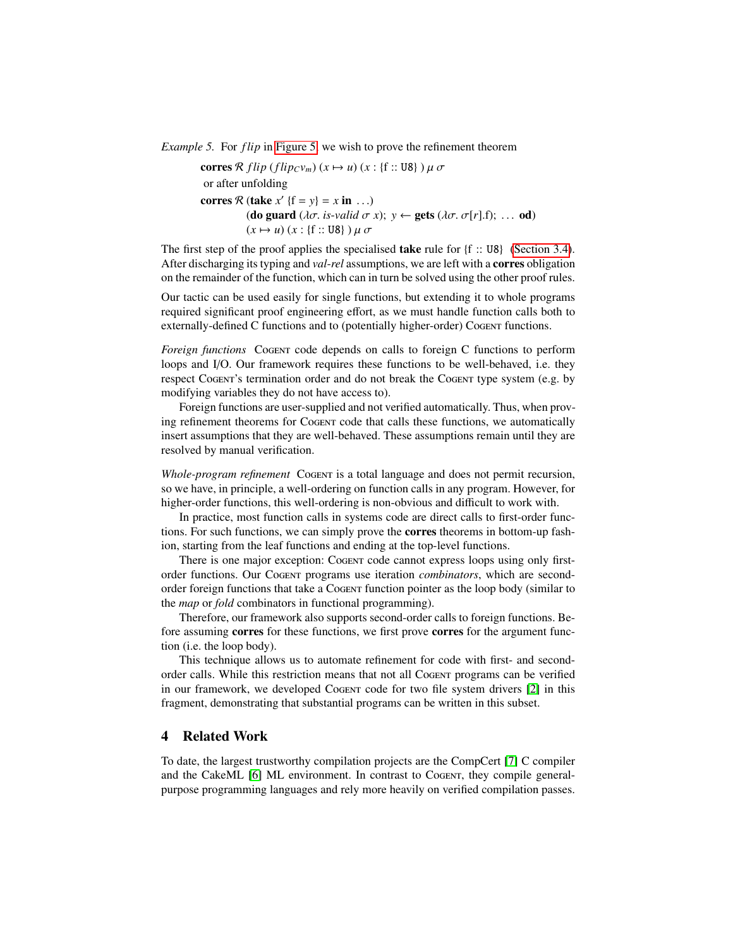*Example 5.* For *f lip* in [Figure 5,](#page-7-0) we wish to prove the refinement theorem

corres  $\mathcal R$  *f lip* (*f lip<sub>C</sub>* $v_m$ ) ( $x \mapsto u$ ) ( $x :$  {f :: U8} )  $\mu \sigma$ or after unfolding corres  $\mathcal{R}$  (take  $x'$  {f =  $y$ } =  $x$  in ...)<br>(do quard  $(\partial \sigma \text{ is-valid})$ (do guard ( $\lambda \sigma$ . *is-valid*  $\sigma$  *x*);  $y \leftarrow$  gets ( $\lambda \sigma$ .  $\sigma[r]$ .f); ... od)  $(x \mapsto u)(x : \{f : : \text{U8}\}) \mu \sigma$ 

The first step of the proof applies the specialised **take** rule for  $\{f : : \text{UB}\}\$  [\(Section 3.4\)](#page-11-0). After discharging its typing and *val*-*rel* assumptions, we are left with a corres obligation on the remainder of the function, which can in turn be solved using the other proof rules.

Our tactic can be used easily for single functions, but extending it to whole programs required significant proof engineering effort, as we must handle function calls both to externally-defined C functions and to (potentially higher-order) Cogent functions.

*Foreign functions* Cogent code depends on calls to foreign C functions to perform loops and I/O. Our framework requires these functions to be well-behaved, i.e. they respect Cogent's termination order and do not break the Cogent type system (e.g. by modifying variables they do not have access to).

Foreign functions are user-supplied and not verified automatically. Thus, when proving refinement theorems for Cogent code that calls these functions, we automatically insert assumptions that they are well-behaved. These assumptions remain until they are resolved by manual verification.

*Whole-program refinement* Cogent is a total language and does not permit recursion, so we have, in principle, a well-ordering on function calls in any program. However, for higher-order functions, this well-ordering is non-obvious and difficult to work with.

In practice, most function calls in systems code are direct calls to first-order functions. For such functions, we can simply prove the corres theorems in bottom-up fashion, starting from the leaf functions and ending at the top-level functions.

There is one major exception: Cogent code cannot express loops using only firstorder functions. Our Cogent programs use iteration *combinators*, which are secondorder foreign functions that take a Cogent function pointer as the loop body (similar to the *map* or *fold* combinators in functional programming).

Therefore, our framework also supports second-order calls to foreign functions. Before assuming corres for these functions, we first prove corres for the argument function (i.e. the loop body).

This technique allows us to automate refinement for code with first- and secondorder calls. While this restriction means that not all Cogent programs can be verified in our framework, we developed Cogent code for two file system drivers [\[2\]](#page-15-1) in this fragment, demonstrating that substantial programs can be written in this subset.

## 4 Related Work

To date, the largest trustworthy compilation projects are the CompCert [\[7\]](#page-15-4) C compiler and the CakeML [\[6\]](#page-15-12) ML environment. In contrast to Cogenr, they compile generalpurpose programming languages and rely more heavily on verified compilation passes.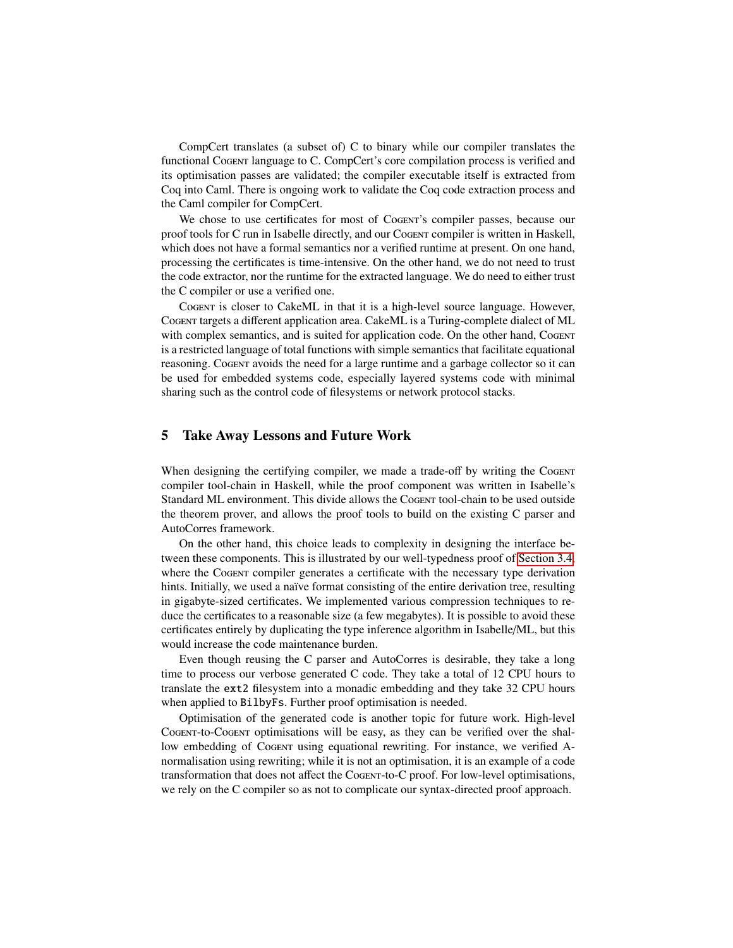CompCert translates (a subset of) C to binary while our compiler translates the functional Cogent language to C. CompCert's core compilation process is verified and its optimisation passes are validated; the compiler executable itself is extracted from Coq into Caml. There is ongoing work to validate the Coq code extraction process and the Caml compiler for CompCert.

We chose to use certificates for most of Cogent's compiler passes, because our proof tools for C run in Isabelle directly, and our Cogent compiler is written in Haskell, which does not have a formal semantics nor a verified runtime at present. On one hand, processing the certificates is time-intensive. On the other hand, we do not need to trust the code extractor, nor the runtime for the extracted language. We do need to either trust the C compiler or use a verified one.

Cogent is closer to CakeML in that it is a high-level source language. However, Cogent targets a different application area. CakeML is a Turing-complete dialect of ML with complex semantics, and is suited for application code. On the other hand, CoGENT is a restricted language of total functions with simple semantics that facilitate equational reasoning. Cogent avoids the need for a large runtime and a garbage collector so it can be used for embedded systems code, especially layered systems code with minimal sharing such as the control code of filesystems or network protocol stacks.

## 5 Take Away Lessons and Future Work

When designing the certifying compiler, we made a trade-off by writing the Cogent compiler tool-chain in Haskell, while the proof component was written in Isabelle's Standard ML environment. This divide allows the Cogent tool-chain to be used outside the theorem prover, and allows the proof tools to build on the existing C parser and AutoCorres framework.

On the other hand, this choice leads to complexity in designing the interface between these components. This is illustrated by our well-typedness proof of [Section 3.4,](#page-12-0) where the Cogent compiler generates a certificate with the necessary type derivation hints. Initially, we used a naïve format consisting of the entire derivation tree, resulting in gigabyte-sized certificates. We implemented various compression techniques to reduce the certificates to a reasonable size (a few megabytes). It is possible to avoid these certificates entirely by duplicating the type inference algorithm in Isabelle/ML, but this would increase the code maintenance burden.

Even though reusing the C parser and AutoCorres is desirable, they take a long time to process our verbose generated C code. They take a total of 12 CPU hours to translate the ext2 filesystem into a monadic embedding and they take 32 CPU hours when applied to BilbyFs. Further proof optimisation is needed.

Optimisation of the generated code is another topic for future work. High-level Cogent-to-Cogent optimisations will be easy, as they can be verified over the shallow embedding of Cogent using equational rewriting. For instance, we verified Anormalisation using rewriting; while it is not an optimisation, it is an example of a code transformation that does not affect the Cogent-to-C proof. For low-level optimisations, we rely on the C compiler so as not to complicate our syntax-directed proof approach.